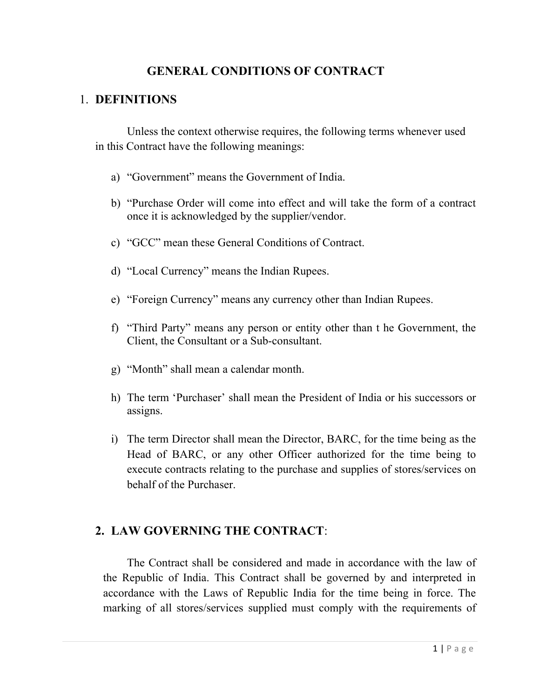# **GENERAL CONDITIONS OF CONTRACT**

# 1. **DEFINITIONS**

Unless the context otherwise requires, the following terms whenever used in this Contract have the following meanings:

- a) "Government" means the Government of India.
- b) "Purchase Order will come into effect and will take the form of a contract once it is acknowledged by the supplier/vendor.
- c) "GCC" mean these General Conditions of Contract.
- d) "Local Currency" means the Indian Rupees.
- e) "Foreign Currency" means any currency other than Indian Rupees.
- f) "Third Party" means any person or entity other than t he Government, the Client, the Consultant or a Sub-consultant.
- g) "Month" shall mean a calendar month.
- h) The term "Purchaser" shall mean the President of India or his successors or assigns.
- i) The term Director shall mean the Director, BARC, for the time being as the Head of BARC, or any other Officer authorized for the time being to execute contracts relating to the purchase and supplies of stores/services on behalf of the Purchaser.

# **2. LAW GOVERNING THE CONTRACT**:

The Contract shall be considered and made in accordance with the law of the Republic of India. This Contract shall be governed by and interpreted in accordance with the Laws of Republic India for the time being in force. The marking of all stores/services supplied must comply with the requirements of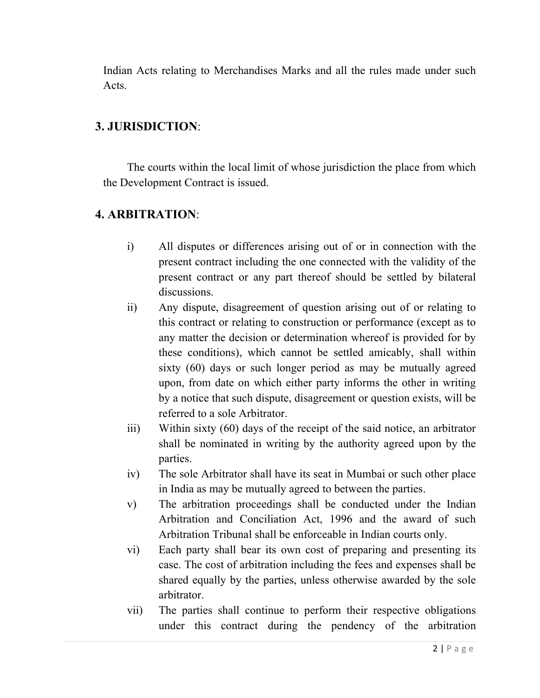Indian Acts relating to Merchandises Marks and all the rules made under such Acts.

## **3. JURISDICTION**:

The courts within the local limit of whose jurisdiction the place from which the Development Contract is issued.

# **4. ARBITRATION**:

- i) All disputes or differences arising out of or in connection with the present contract including the one connected with the validity of the present contract or any part thereof should be settled by bilateral discussions.
- ii) Any dispute, disagreement of question arising out of or relating to this contract or relating to construction or performance (except as to any matter the decision or determination whereof is provided for by these conditions), which cannot be settled amicably, shall within sixty (60) days or such longer period as may be mutually agreed upon, from date on which either party informs the other in writing by a notice that such dispute, disagreement or question exists, will be referred to a sole Arbitrator.
- iii) Within sixty (60) days of the receipt of the said notice, an arbitrator shall be nominated in writing by the authority agreed upon by the parties.
- iv) The sole Arbitrator shall have its seat in Mumbai or such other place in India as may be mutually agreed to between the parties.
- v) The arbitration proceedings shall be conducted under the Indian Arbitration and Conciliation Act, 1996 and the award of such Arbitration Tribunal shall be enforceable in Indian courts only.
- vi) Each party shall bear its own cost of preparing and presenting its case. The cost of arbitration including the fees and expenses shall be shared equally by the parties, unless otherwise awarded by the sole arbitrator.
- vii) The parties shall continue to perform their respective obligations under this contract during the pendency of the arbitration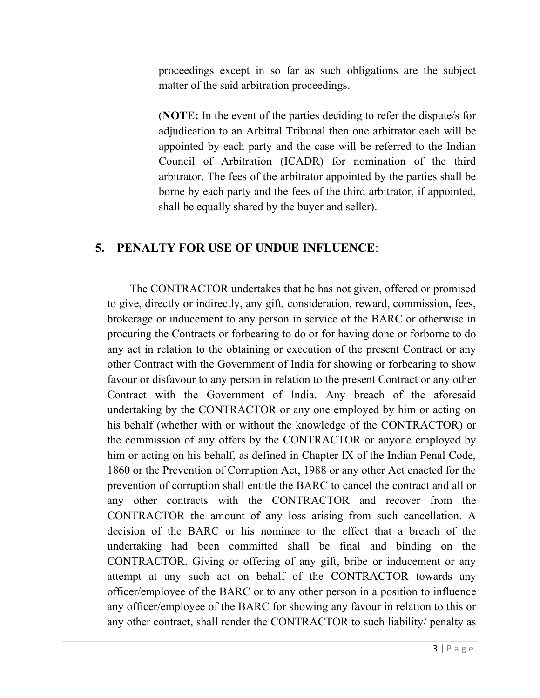proceedings except in so far as such obligations are the subject matter of the said arbitration proceedings.

(**NOTE:** In the event of the parties deciding to refer the dispute/s for adjudication to an Arbitral Tribunal then one arbitrator each will be appointed by each party and the case will be referred to the Indian Council of Arbitration (ICADR) for nomination of the third arbitrator. The fees of the arbitrator appointed by the parties shall be borne by each party and the fees of the third arbitrator, if appointed, shall be equally shared by the buyer and seller).

## **5. PENALTY FOR USE OF UNDUE INFLUENCE**:

The CONTRACTOR undertakes that he has not given, offered or promised to give, directly or indirectly, any gift, consideration, reward, commission, fees, brokerage or inducement to any person in service of the BARC or otherwise in procuring the Contracts or forbearing to do or for having done or forborne to do any act in relation to the obtaining or execution of the present Contract or any other Contract with the Government of India for showing or forbearing to show favour or disfavour to any person in relation to the present Contract or any other Contract with the Government of India. Any breach of the aforesaid undertaking by the CONTRACTOR or any one employed by him or acting on his behalf (whether with or without the knowledge of the CONTRACTOR) or the commission of any offers by the CONTRACTOR or anyone employed by him or acting on his behalf, as defined in Chapter IX of the Indian Penal Code, 1860 or the Prevention of Corruption Act, 1988 or any other Act enacted for the prevention of corruption shall entitle the BARC to cancel the contract and all or any other contracts with the CONTRACTOR and recover from the CONTRACTOR the amount of any loss arising from such cancellation. A decision of the BARC or his nominee to the effect that a breach of the undertaking had been committed shall be final and binding on the CONTRACTOR. Giving or offering of any gift, bribe or inducement or any attempt at any such act on behalf of the CONTRACTOR towards any officer/employee of the BARC or to any other person in a position to influence any officer/employee of the BARC for showing any favour in relation to this or any other contract, shall render the CONTRACTOR to such liability/ penalty as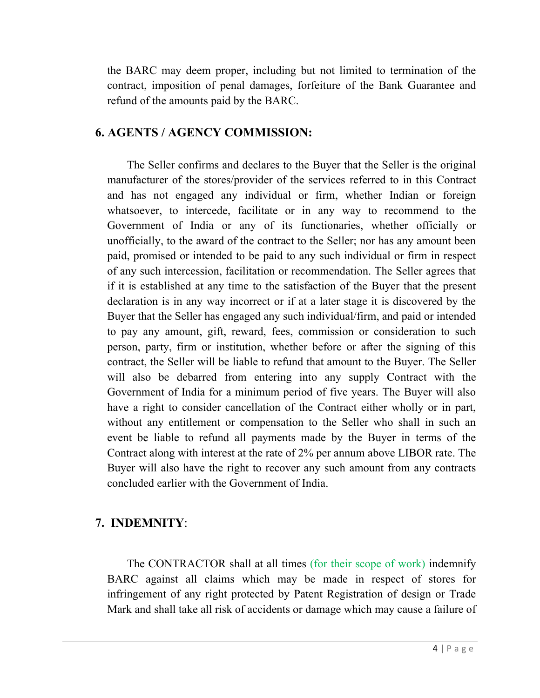the BARC may deem proper, including but not limited to termination of the contract, imposition of penal damages, forfeiture of the Bank Guarantee and refund of the amounts paid by the BARC.

#### **6. AGENTS / AGENCY COMMISSION:**

The Seller confirms and declares to the Buyer that the Seller is the original manufacturer of the stores/provider of the services referred to in this Contract and has not engaged any individual or firm, whether Indian or foreign whatsoever, to intercede, facilitate or in any way to recommend to the Government of India or any of its functionaries, whether officially or unofficially, to the award of the contract to the Seller; nor has any amount been paid, promised or intended to be paid to any such individual or firm in respect of any such intercession, facilitation or recommendation. The Seller agrees that if it is established at any time to the satisfaction of the Buyer that the present declaration is in any way incorrect or if at a later stage it is discovered by the Buyer that the Seller has engaged any such individual/firm, and paid or intended to pay any amount, gift, reward, fees, commission or consideration to such person, party, firm or institution, whether before or after the signing of this contract, the Seller will be liable to refund that amount to the Buyer. The Seller will also be debarred from entering into any supply Contract with the Government of India for a minimum period of five years. The Buyer will also have a right to consider cancellation of the Contract either wholly or in part, without any entitlement or compensation to the Seller who shall in such an event be liable to refund all payments made by the Buyer in terms of the Contract along with interest at the rate of 2% per annum above LIBOR rate. The Buyer will also have the right to recover any such amount from any contracts concluded earlier with the Government of India.

## **7. INDEMNITY**:

The CONTRACTOR shall at all times (for their scope of work) indemnify BARC against all claims which may be made in respect of stores for infringement of any right protected by Patent Registration of design or Trade Mark and shall take all risk of accidents or damage which may cause a failure of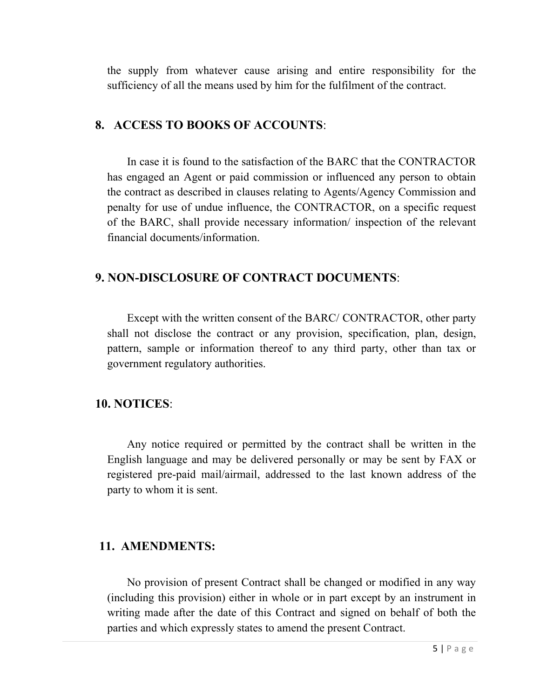the supply from whatever cause arising and entire responsibility for the sufficiency of all the means used by him for the fulfilment of the contract.

## **8. ACCESS TO BOOKS OF ACCOUNTS**:

In case it is found to the satisfaction of the BARC that the CONTRACTOR has engaged an Agent or paid commission or influenced any person to obtain the contract as described in clauses relating to Agents/Agency Commission and penalty for use of undue influence, the CONTRACTOR, on a specific request of the BARC, shall provide necessary information/ inspection of the relevant financial documents/information.

# **9. NON-DISCLOSURE OF CONTRACT DOCUMENTS**:

Except with the written consent of the BARC/ CONTRACTOR, other party shall not disclose the contract or any provision, specification, plan, design, pattern, sample or information thereof to any third party, other than tax or government regulatory authorities.

## **10. NOTICES**:

Any notice required or permitted by the contract shall be written in the English language and may be delivered personally or may be sent by FAX or registered pre-paid mail/airmail, addressed to the last known address of the party to whom it is sent.

## **11. AMENDMENTS:**

No provision of present Contract shall be changed or modified in any way (including this provision) either in whole or in part except by an instrument in writing made after the date of this Contract and signed on behalf of both the parties and which expressly states to amend the present Contract.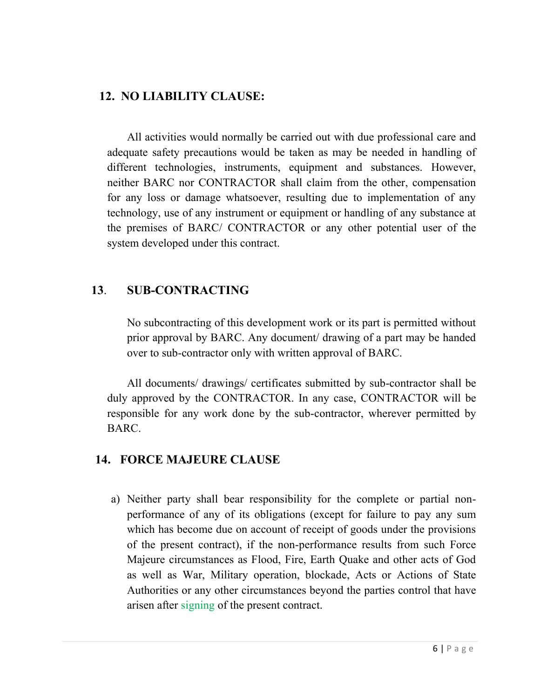# **12. NO LIABILITY CLAUSE:**

All activities would normally be carried out with due professional care and adequate safety precautions would be taken as may be needed in handling of different technologies, instruments, equipment and substances. However, neither BARC nor CONTRACTOR shall claim from the other, compensation for any loss or damage whatsoever, resulting due to implementation of any technology, use of any instrument or equipment or handling of any substance at the premises of BARC/ CONTRACTOR or any other potential user of the system developed under this contract.

# **13**. **SUB-CONTRACTING**

No subcontracting of this development work or its part is permitted without prior approval by BARC. Any document/ drawing of a part may be handed over to sub-contractor only with written approval of BARC.

All documents/ drawings/ certificates submitted by sub-contractor shall be duly approved by the CONTRACTOR. In any case, CONTRACTOR will be responsible for any work done by the sub-contractor, wherever permitted by BARC.

# **14. FORCE MAJEURE CLAUSE**

a) Neither party shall bear responsibility for the complete or partial nonperformance of any of its obligations (except for failure to pay any sum which has become due on account of receipt of goods under the provisions of the present contract), if the non-performance results from such Force Majeure circumstances as Flood, Fire, Earth Quake and other acts of God as well as War, Military operation, blockade, Acts or Actions of State Authorities or any other circumstances beyond the parties control that have arisen after signing of the present contract.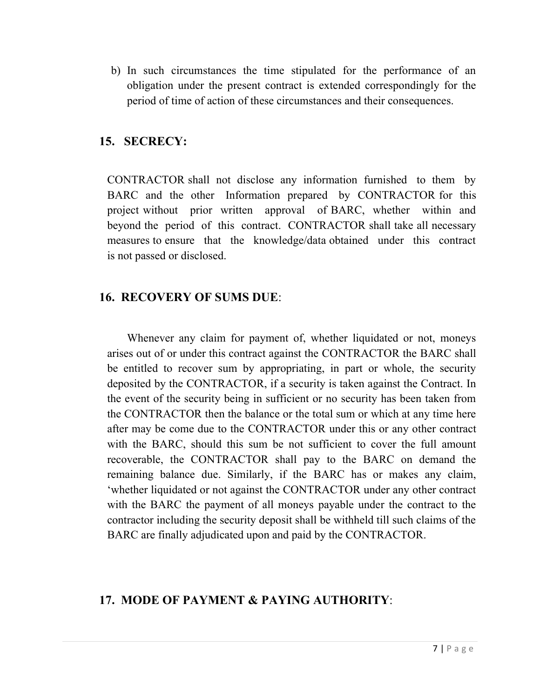b) In such circumstances the time stipulated for the performance of an obligation under the present contract is extended correspondingly for the period of time of action of these circumstances and their consequences.

#### **15. SECRECY:**

CONTRACTOR shall not disclose any information furnished to them by BARC and the other Information prepared by CONTRACTOR for this project without prior written approval of BARC, whether within and beyond the period of this contract. CONTRACTOR shall take all necessary measures to ensure that the knowledge/data obtained under this contract is not passed or disclosed.

#### **16. RECOVERY OF SUMS DUE**:

Whenever any claim for payment of, whether liquidated or not, moneys arises out of or under this contract against the CONTRACTOR the BARC shall be entitled to recover sum by appropriating, in part or whole, the security deposited by the CONTRACTOR, if a security is taken against the Contract. In the event of the security being in sufficient or no security has been taken from the CONTRACTOR then the balance or the total sum or which at any time here after may be come due to the CONTRACTOR under this or any other contract with the BARC, should this sum be not sufficient to cover the full amount recoverable, the CONTRACTOR shall pay to the BARC on demand the remaining balance due. Similarly, if the BARC has or makes any claim, 'whether liquidated or not against the CONTRACTOR under any other contract with the BARC the payment of all moneys payable under the contract to the contractor including the security deposit shall be withheld till such claims of the BARC are finally adjudicated upon and paid by the CONTRACTOR.

# **17. MODE OF PAYMENT & PAYING AUTHORITY**: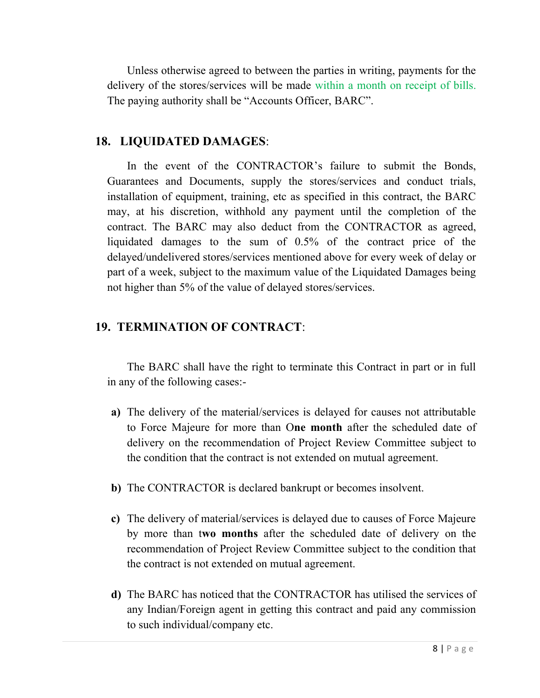Unless otherwise agreed to between the parties in writing, payments for the delivery of the stores/services will be made within a month on receipt of bills. The paying authority shall be "Accounts Officer, BARC".

## **18. LIQUIDATED DAMAGES**:

In the event of the CONTRACTOR's failure to submit the Bonds, Guarantees and Documents, supply the stores/services and conduct trials, installation of equipment, training, etc as specified in this contract, the BARC may, at his discretion, withhold any payment until the completion of the contract. The BARC may also deduct from the CONTRACTOR as agreed, liquidated damages to the sum of 0.5% of the contract price of the delayed/undelivered stores/services mentioned above for every week of delay or part of a week, subject to the maximum value of the Liquidated Damages being not higher than 5% of the value of delayed stores/services.

# **19. TERMINATION OF CONTRACT**:

The BARC shall have the right to terminate this Contract in part or in full in any of the following cases:-

- **a)** The delivery of the material/services is delayed for causes not attributable to Force Majeure for more than O**ne month** after the scheduled date of delivery on the recommendation of Project Review Committee subject to the condition that the contract is not extended on mutual agreement.
- **b)** The CONTRACTOR is declared bankrupt or becomes insolvent.
- **c)** The delivery of material/services is delayed due to causes of Force Majeure by more than t**wo months** after the scheduled date of delivery on the recommendation of Project Review Committee subject to the condition that the contract is not extended on mutual agreement.
- **d)** The BARC has noticed that the CONTRACTOR has utilised the services of any Indian/Foreign agent in getting this contract and paid any commission to such individual/company etc.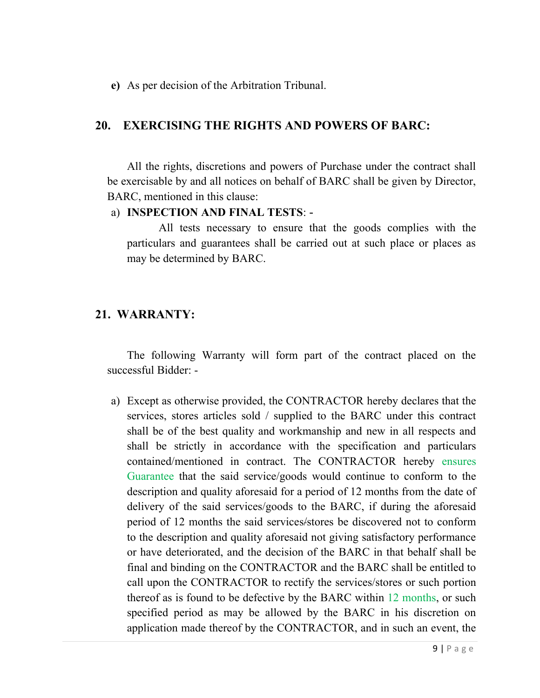**e)** As per decision of the Arbitration Tribunal.

#### **20. EXERCISING THE RIGHTS AND POWERS OF BARC:**

All the rights, discretions and powers of Purchase under the contract shall be exercisable by and all notices on behalf of BARC shall be given by Director, BARC, mentioned in this clause:

#### a) **INSPECTION AND FINAL TESTS**: -

All tests necessary to ensure that the goods complies with the particulars and guarantees shall be carried out at such place or places as may be determined by BARC.

# **21. WARRANTY:**

The following Warranty will form part of the contract placed on the successful Bidder: -

a) Except as otherwise provided, the CONTRACTOR hereby declares that the services, stores articles sold / supplied to the BARC under this contract shall be of the best quality and workmanship and new in all respects and shall be strictly in accordance with the specification and particulars contained/mentioned in contract. The CONTRACTOR hereby ensures Guarantee that the said service/goods would continue to conform to the description and quality aforesaid for a period of 12 months from the date of delivery of the said services/goods to the BARC, if during the aforesaid period of 12 months the said services/stores be discovered not to conform to the description and quality aforesaid not giving satisfactory performance or have deteriorated, and the decision of the BARC in that behalf shall be final and binding on the CONTRACTOR and the BARC shall be entitled to call upon the CONTRACTOR to rectify the services/stores or such portion thereof as is found to be defective by the BARC within 12 months, or such specified period as may be allowed by the BARC in his discretion on application made thereof by the CONTRACTOR, and in such an event, the